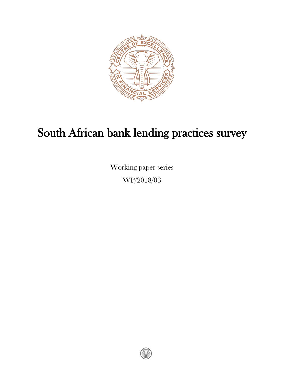

# South African bank lending practices survey

Working paper series WP/2018/03

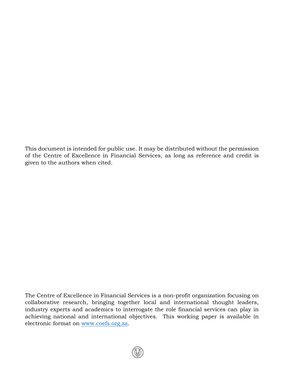This document is intended for public use. It may be distributed without the permission of the Centre of Excellence in Financial Services, as long as reference and credit is given to the authors when cited.

The Centre of Excellence in Financial Services is a non-profit organization focusing on collaborative research, bringing together local and international thought leaders, industry experts and academics to interrogate the role financial services can play in achieving national and international objectives. This working paper is available in electronic format on [www.coefs.org.za.](http://www.coefs.org.za/)

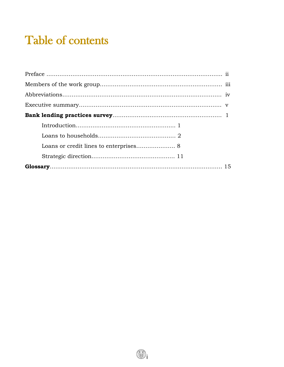# Table of contents

 $\circledR$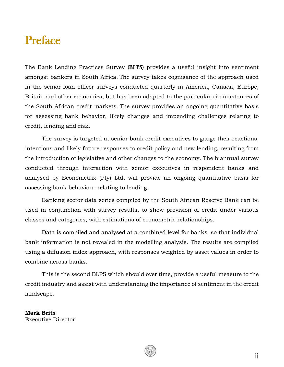# Preface

The Bank Lending Practices Survey (BLPS) provides a useful insight into sentiment amongst bankers in South Africa. The survey takes cognisance of the approach used in the senior loan officer surveys conducted quarterly in America, Canada, Europe, Britain and other economies, but has been adapted to the particular circumstances of the South African credit markets. The survey provides an ongoing quantitative basis for assessing bank behavior, likely changes and impending challenges relating to credit, lending and risk.

The survey is targeted at senior bank credit executives to gauge their reactions, intentions and likely future responses to credit policy and new lending, resulting from the introduction of legislative and other changes to the economy. The biannual survey conducted through interaction with senior executives in respondent banks and analysed by Econometrix (Pty) Ltd, will provide an ongoing quantitative basis for assessing bank behaviour relating to lending.

Banking sector data series compiled by the South African Reserve Bank can be used in conjunction with survey results, to show provision of credit under various classes and categories, with estimations of econometric relationships.

Data is compiled and analysed at a combined level for banks, so that individual bank information is not revealed in the modelling analysis. The results are compiled using a diffusion index approach, with responses weighted by asset values in order to combine across banks.

This is the second BLPS which should over time, provide a useful measure to the credit industry and assist with understanding the importance of sentiment in the credit landscape.

**Mark Brits** Executive Director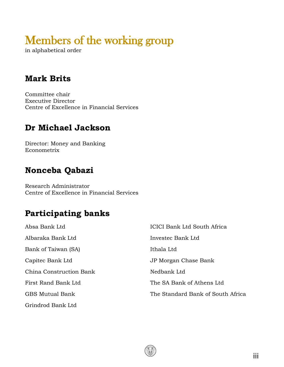# Members of the working group

in alphabetical order

# **Mark Brits**

Committee chair Executive Director Centre of Excellence in Financial Services

# **Dr Michael Jackson**

Director: Money and Banking Econometrix

## **Nonceba Qabazi**

Research Administrator Centre of Excellence in Financial Services

# **Participating banks**

| Absa Bank Ltd           | ICICI Bank Ltd South Africa       |
|-------------------------|-----------------------------------|
| Albaraka Bank Ltd       | Investec Bank Ltd                 |
| Bank of Taiwan (SA)     | Ithala Ltd                        |
| Capitec Bank Ltd        | JP Morgan Chase Bank              |
| China Construction Bank | Nedbank Ltd                       |
| First Rand Bank Ltd     | The SA Bank of Athens Ltd         |
| <b>GBS Mutual Bank</b>  | The Standard Bank of South Africa |
| Grindrod Bank Ltd       |                                   |

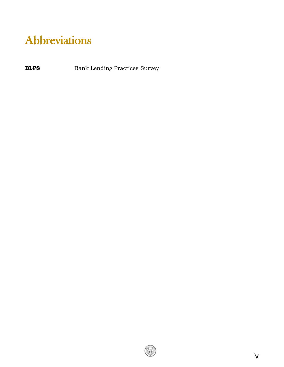# Abbreviations

**BLPS** Bank Lending Practices Survey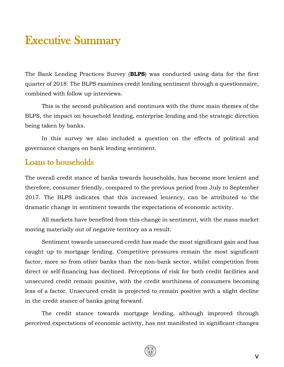# Executive Summary

The Bank Lending Practices Survey (**BLPS**) was conducted using data for the first quarter of 2018. The BLPS examines credit lending sentiment through a questionnaire, combined with follow up interviews.

This is the second publication and continues with the three main themes of the BLPS, the impact on household lending, enterprise lending and the strategic direction being taken by banks.

In this survey we also included a question on the effects of political and governance changes on bank lending sentiment.

#### Loans to households

The overall credit stance of banks towards households, has become more lenient and therefore, consumer friendly, compared to the previous period from July to September 2017. The BLPS indicates that this increased leniency, can be attributed to the dramatic change in sentiment towards the expectations of economic activity.

All markets have benefited from this change in sentiment, with the mass market moving materially out of negative territory as a result.

Sentiment towards unsecured credit has made the most significant gain and has caught up to mortgage lending. Competitive pressures remain the most significant factor, more so from other banks than the non-bank sector, whilst competition from direct or self-financing has declined. Perceptions of risk for both credit facilities and unsecured credit remain positive, with the credit worthiness of consumers becoming less of a factor. Unsecured credit is projected to remain positive with a slight decline in the credit stance of banks going forward.

The credit stance towards mortgage lending, although improved through perceived expectations of economic activity, has not manifested in significant changes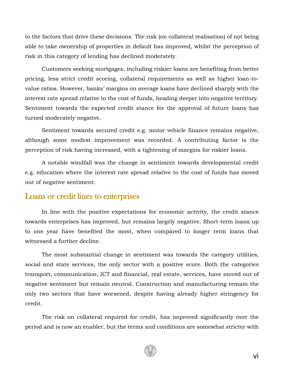to the factors that drive these decisions. The risk (on collateral realisation) of not being able to take ownership of properties in default has improved, whilst the perception of risk in this category of lending has declined moderately.

Customers seeking mortgages, including riskier loans are benefiting from better pricing, less strict credit scoring, collateral requirements as well as higher loan-tovalue ratios. However, banks' margins on average loans have declined sharply with the interest rate spread relative to the cost of funds, heading deeper into negative territory. Sentiment towards the expected credit stance for the approval of future loans has turned moderately negative.

Sentiment towards secured credit e.g. motor vehicle finance remains negative, although some modest improvement was recorded. A contributing factor is the perception of risk having increased, with a tightening of margins for riskier loans.

A notable windfall was the change in sentiment towards developmental credit e.g. education where the interest rate spread relative to the cost of funds has moved out of negative sentiment.

#### Loans or credit lines to enterprises

In line with the positive expectations for economic activity, the credit stance towards enterprises has improved, but remains largely negative. Short-term loans up to one year have benefited the most, when compared to longer term loans that witnessed a further decline.

The most substantial change in sentiment was towards the category utilities, social and state services, the only sector with a positive score. Both the categories transport, communication, ICT and financial, real estate, services, have moved out of negative sentiment but remain neutral. Construction and manufacturing remain the only two sectors that have worsened, despite having already higher stringency for credit.

The risk on collateral required for credit, has improved significantly over the period and is now an enabler, but the terms and conditions are somewhat stricter with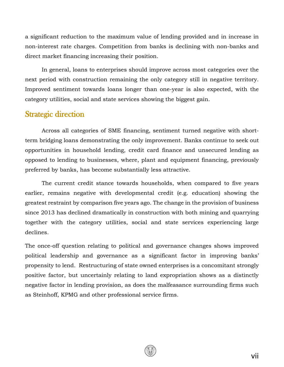a significant reduction to the maximum value of lending provided and in increase in non-interest rate charges. Competition from banks is declining with non-banks and direct market financing increasing their position.

In general, loans to enterprises should improve across most categories over the next period with construction remaining the only category still in negative territory. Improved sentiment towards loans longer than one-year is also expected, with the category utilities, social and state services showing the biggest gain.

#### Strategic direction

Across all categories of SME financing, sentiment turned negative with shortterm bridging loans demonstrating the only improvement. Banks continue to seek out opportunities in household lending, credit card finance and unsecured lending as opposed to lending to businesses, where, plant and equipment financing, previously preferred by banks, has become substantially less attractive.

The current credit stance towards households, when compared to five years earlier, remains negative with developmental credit (e.g. education) showing the greatest restraint by comparison five years ago. The change in the provision of business since 2013 has declined dramatically in construction with both mining and quarrying together with the category utilities, social and state services experiencing large declines.

The once-off question relating to political and governance changes shows improved political leadership and governance as a significant factor in improving banks' propensity to lend. Restructuring of state owned enterprises is a concomitant strongly positive factor, but uncertainly relating to land expropriation shows as a distinctly negative factor in lending provision, as does the malfeasance surrounding firms such as Steinhoff, KPMG and other professional service firms.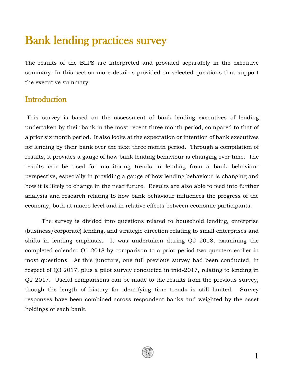# Bank lending practices survey

The results of the BLPS are interpreted and provided separately in the executive summary. In this section more detail is provided on selected questions that support the executive summary.

#### **Introduction**

This survey is based on the assessment of bank lending executives of lending undertaken by their bank in the most recent three month period, compared to that of a prior six month period. It also looks at the expectation or intention of bank executives for lending by their bank over the next three month period. Through a compilation of results, it provides a gauge of how bank lending behaviour is changing over time. The results can be used for monitoring trends in lending from a bank behaviour perspective, especially in providing a gauge of how lending behaviour is changing and how it is likely to change in the near future. Results are also able to feed into further analysis and research relating to how bank behaviour influences the progress of the economy, both at macro level and in relative effects between economic participants.

The survey is divided into questions related to household lending, enterprise (business/corporate) lending, and strategic direction relating to small enterprises and shifts in lending emphasis. It was undertaken during Q2 2018, examining the completed calendar Q1 2018 by comparison to a prior period two quarters earlier in most questions. At this juncture, one full previous survey had been conducted, in respect of Q3 2017, plus a pilot survey conducted in mid-2017, relating to lending in Q2 2017. Useful comparisons can be made to the results from the previous survey, though the length of history for identifying time trends is still limited. Survey responses have been combined across respondent banks and weighted by the asset holdings of each bank.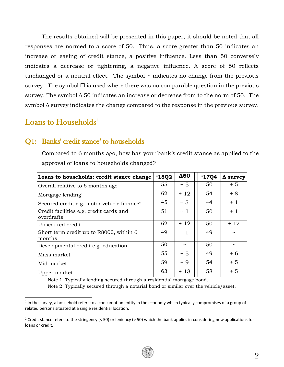The results obtained will be presented in this paper, it should be noted that all responses are normed to a score of 50. Thus, a score greater than 50 indicates an increase or easing of credit stance, a positive influence. Less than 50 conversely indicates a decrease or tightening, a negative influence. A score of 50 reflects unchanged or a neutral effect. The symbol  $\sim$  indicates no change from the previous survey. The symbol  $\square$  is used where there was no comparable question in the previous survey. The symbol Δ 50 indicates an increase or decrease from to the norm of 50. The symbol Δ survey indicates the change compared to the response in the previous survey.

#### Loans to Households<sup>1</sup>

l

#### Q1: Banks' credit stance<sup>2</sup> to households

Compared to 6 months ago, how has your bank's credit stance as applied to the approval of loans to households changed?

| Loans to households: credit stance change              | 18Q2 | Δ50                   | <b>'1704</b> | $\Delta$ survey       |
|--------------------------------------------------------|------|-----------------------|--------------|-----------------------|
| Overall relative to 6 months ago                       | 55   | $+5$                  | 50           | $+5$                  |
| Mortgage lending <sup>1</sup>                          | 62   | $+12$                 | 54           | $+8$                  |
| Secured credit e.g. motor vehicle finance <sup>2</sup> | 45   | $-5$                  | 44           | $+1$                  |
| Credit facilities e.g. credit cards and<br>overdrafts  | 51   | $+1$                  | 50           | $+1$                  |
| Unsecured credit                                       | 62   | $+12$                 | 50           | $+12$                 |
| Short term credit up to R8000, within 6<br>months      | 49   | $-1$                  | 49           | $\tilde{\phantom{a}}$ |
| Developmental credit e.g. education                    | 50   | $\tilde{\phantom{a}}$ | 50           | $\tilde{\phantom{a}}$ |
| Mass market                                            | 55   | $+5$                  | 49           | $+6$                  |
| Mid market                                             | 59   | $+9$                  | 54           | $+5$                  |
| Upper market                                           | 63   | $+13$                 | 58           | $+5$                  |

Note 1: Typically lending secured through a residential mortgage bond.

Note 2: Typically secured through a notarial bond or similar over the vehicle/asset.

<sup>&</sup>lt;sup>1</sup> In the survey, a household refers to a consumption entity in the economy which typically compromises of a group of related persons situated at a single residential location.

<sup>&</sup>lt;sup>2</sup> Credit stance refers to the stringency (< 50) or leniency (> 50) which the bank applies in considering new applications for loans or credit.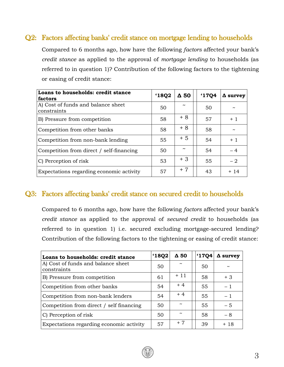#### Q2: Factors affecting banks' credit stance on mortgage lending to households

Compared to 6 months ago, how have the following *factors* affected your bank's *credit stance* as applied to the approval of *mortgage lending* to households (as referred to in question 1)? Contribution of the following factors to the tightening or easing of credit stance:

| Loans to households: credit stance<br>factors     | '18Q2 | $\Delta$ 50           | '17Q4 | $\Delta$ survey |
|---------------------------------------------------|-------|-----------------------|-------|-----------------|
| A) Cost of funds and balance sheet<br>constraints | 50    | $\tilde{\phantom{a}}$ | 50    |                 |
| B) Pressure from competition                      | 58    | + 8                   | 57    | $+1$            |
| Competition from other banks                      | 58    | + 8                   | 58    |                 |
| Competition from non-bank lending                 | 55    | $+5$                  | 54    | $+1$            |
| Competition from direct / self-financing          | 50    | $\tilde{\phantom{a}}$ | 54    | $-4$            |
| C) Perception of risk                             | 53    | $+3$                  | 55    | $-2$            |
| Expectations regarding economic activity          | 57    | $+7$                  | 43    | $+14$           |

#### Q3: Factors affecting banks' credit stance on secured credit to households

Compared to 6 months ago, how have the following *factors* affected your bank's *credit stance* as applied to the approval of *secured credit* to households (as referred to in question 1) i.e. secured excluding mortgage-secured lending? Contribution of the following factors to the tightening or easing of credit stance:

| Loans to households: credit stance                | '18Q2 | $\Delta$ 50 | '17Q4 | $\Delta$ survey       |
|---------------------------------------------------|-------|-------------|-------|-----------------------|
| A) Cost of funds and balance sheet<br>constraints | 50    |             | 50    | $\tilde{\phantom{a}}$ |
| B) Pressure from competition                      | 61    | + 11        | 58    | $+3$                  |
| Competition from other banks                      | 54    | $+4$        | 55    | $-1$                  |
| Competition from non-bank lenders                 | 54    | $+4$        | 55    | $-1$                  |
| Competition from direct / self financing          | 50    |             | 55    | $-5$                  |
| C) Perception of risk                             | 50    |             | 58    | - 8                   |
| Expectations regarding economic activity          | 57    | $+7$        | 39    | + 18                  |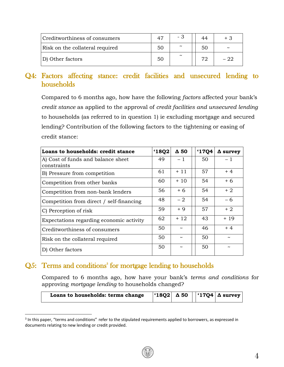| Creditworthiness of consumers   |    | - 3                   |    |                       |
|---------------------------------|----|-----------------------|----|-----------------------|
| Risk on the collateral required | 50 | $\tilde{\phantom{a}}$ | 50 | $\tilde{\phantom{a}}$ |
| D) Other factors                | 50 | $\sim$                | מד |                       |

### Q4: Factors affecting stance: credit facilities and unsecured lending to households

Compared to 6 months ago, how have the following *factors* affected your bank's *credit stance* as applied to the approval of *credit facilities and unsecured lending* to households (as referred to in question 1) ie excluding mortgage and secured lending? Contribution of the following factors to the tightening or easing of credit stance:

| Loans to households: credit stance                | '18Q2 | $\Delta$ 50 | <b>'1704</b> | $\Delta$ survey |
|---------------------------------------------------|-------|-------------|--------------|-----------------|
| A) Cost of funds and balance sheet<br>constraints | 49    | $-1$        | 50           | $-1$            |
| B) Pressure from competition                      | 61    | $+11$       | 57           | $+4$            |
| Competition from other banks                      | 60    | $+10$       | 54           | + 6             |
| Competition from non-bank lenders                 | 56    | $+6$        | 54           | $+2$            |
| Competition from direct / self-financing          | 48    | $-2$        | 54           | - 6             |
| C) Perception of risk                             | 59    | $+9$        | 57           | $+2$            |
| Expectations regarding economic activity          | 62    | $+12$       | 43           | + 19            |
| Creditworthiness of consumers                     | 50    |             | 46           | $+4$            |
| Risk on the collateral required                   | 50    |             | 50           | $\sim$          |
| D) Other factors                                  | 50    |             | 50           |                 |

### Q5: Terms and conditions<sup>3</sup> for mortgage lending to households

 $\overline{a}$ 

Compared to 6 months ago, how have your bank's *terms and conditions* for approving *mortgage lending* to households changed?

| $\vert$ '18Q2   $\Delta$ 50     '17Q4   $\Delta$ survey<br>Loans to households: terms change |
|----------------------------------------------------------------------------------------------|
|----------------------------------------------------------------------------------------------|

<sup>&</sup>lt;sup>3</sup> In this paper, "terms and conditions" refer to the stipulated requirements applied to borrowers, as expressed in documents relating to new lending or credit provided.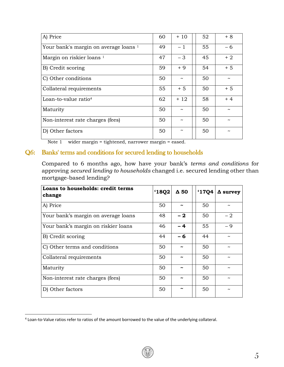| A) Price                                         | 60 | $+10$                 | 52 | $+8$ |
|--------------------------------------------------|----|-----------------------|----|------|
| Your bank's margin on average loans <sup>1</sup> | 49 | $-1$                  | 55 | - 6  |
| Margin on riskier loans <sup>1</sup>             | 47 | $-3$                  | 45 | $+2$ |
| B) Credit scoring                                | 59 | $+9$                  | 54 | $+5$ |
| C) Other conditions                              | 50 | $\tilde{\phantom{a}}$ | 50 |      |
| Collateral requirements                          | 55 | $+5$                  | 50 | $+5$ |
| Loan-to-value ratio <sup>4</sup>                 | 62 | $+12$                 | 58 | $+4$ |
| Maturity                                         | 50 |                       | 50 |      |
| Non-interest rate charges (fees)                 | 50 |                       | 50 |      |
| D) Other factors                                 | 50 | $\tilde{\phantom{a}}$ | 50 |      |
|                                                  |    |                       |    |      |

Note 1 wider margin = tightened, narrower margin = eased.

#### Q6: Banks' terms and conditions for secured lending to households

Compared to 6 months ago, how have your bank's *terms and conditions* for approving *secured lending to households* changed i.e. secured lending other than mortgage-based lending?

| Loans to households: credit terms<br>change | 18Q2 | Δ 50 | '17Q4 | $\Delta$ survey |
|---------------------------------------------|------|------|-------|-----------------|
| A) Price                                    | 50   |      | 50    |                 |
| Your bank's margin on average loans         | 48   | $-2$ | 50    | - 2             |
| Your bank's margin on riskier loans         | 46   | $-4$ | 55    | $-9$            |
| B) Credit scoring                           | 44   | - 6  | 44    |                 |
| C) Other terms and conditions               | 50   | ∼    | 50    |                 |
| Collateral requirements                     | 50   | ∼    | 50    |                 |
| Maturity                                    | 50   |      | 50    |                 |
| Non-interest rate charges (fees)            | 50   |      | 50    |                 |
| D) Other factors                            | 50   | ∼    | 50    |                 |

 $\overline{a}$ 

<sup>4</sup> Loan-to-Value ratios refer to ratios of the amount borrowed to the value of the underlying collateral.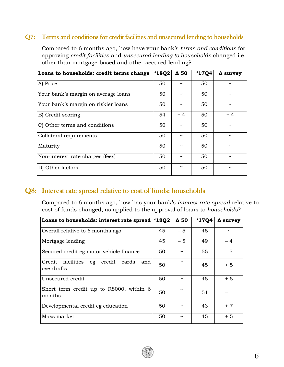#### Q7: Terms and conditions for credit facilities and unsecured lending to households

Compared to 6 months ago, how have your bank's *terms and conditions* for approving *credit facilities* and *unsecured lending to households* changed i.e. other than mortgage-based and other secured lending?

| Loans to households: credit terms change | 18Q2 | $\Delta$ 50           | 17Q4 | $\Delta$ survey |
|------------------------------------------|------|-----------------------|------|-----------------|
| A) Price                                 | 50   |                       | 50   |                 |
| Your bank's margin on average loans      | 50   | ~                     | 50   |                 |
| Your bank's margin on riskier loans      | 50   | $\tilde{\phantom{a}}$ | 50   |                 |
| B) Credit scoring                        | 54   | $+4$                  | 50   | $+4$            |
| C) Other terms and conditions            | 50   |                       | 50   |                 |
| Collateral requirements                  | 50   | $\tilde{\phantom{a}}$ | 50   |                 |
| Maturity                                 | 50   | ~                     | 50   |                 |
| Non-interest rate charges (fees)         | 50   | ~                     | 50   |                 |
| D) Other factors                         | 50   | $\tilde{\phantom{a}}$ | 50   |                 |

#### Q8: Interest rate spread relative to cost of funds: households

Compared to 6 months ago, how has your bank's *interest rate spread* relative to cost of funds changed, as applied to the approval of loans to *households*?

| Loans to households: interest rate spread                       | '18Q2 | $\Delta$ 50 | 1704 | $\Delta$ survey |
|-----------------------------------------------------------------|-------|-------------|------|-----------------|
| Overall relative to 6 months ago                                | 45    | $-5$        | 45   |                 |
| Mortgage lending                                                | 45    | $-5$        | 49   | $-4$            |
| Secured credit eg motor vehicle finance                         | 50    |             | 55   | $-5$            |
| Credit facilities<br>credit<br>cards<br>eg<br>and<br>overdrafts | 50    |             | 45   | $+5$            |
| Unsecured credit                                                | 50    |             | 45   | $+5$            |
| Short term credit up to R8000, within 6<br>months               | 50    |             | 51   | $-1$            |
| Developmental credit eg education                               | 50    |             | 43   | $+7$            |
| Mass market                                                     | 50    |             | 45   | $+5$            |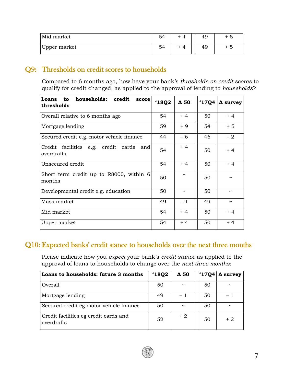| Mid market   | $\square$ |  |  |
|--------------|-----------|--|--|
| Upper market | Ε1        |  |  |

#### Q9: Thresholds on credit scores to households

Compared to 6 months ago, how have your bank's *thresholds on credit scores* to qualify for credit changed, as applied to the approval of lending to *households*?

| to households: credit<br>Loans<br>score<br>thresholds | '18Q2 | $\Delta$ 50           | <b>'17Q4</b> | $\Delta$ survey       |
|-------------------------------------------------------|-------|-----------------------|--------------|-----------------------|
| Overall relative to 6 months ago                      | 54    | $+4$                  | 50           | $+4$                  |
| Mortgage lending                                      | 59    | $+9$                  | 54           | $+5$                  |
| Secured credit e.g. motor vehicle finance             | 44    | - 6                   | 46           | $-2$                  |
| Credit facilities e.g. credit cards and<br>overdrafts | 54    | $+4$                  | 50           | $+4$                  |
| Unsecured credit                                      | 54    | $+4$                  | 50           | $+4$                  |
| Short term credit up to R8000, within 6<br>months     | 50    |                       | 50           |                       |
| Developmental credit e.g. education                   | 50    | $\tilde{\phantom{a}}$ | 50           |                       |
| Mass market                                           | 49    | $-1$                  | 49           | $\tilde{\phantom{a}}$ |
| Mid market                                            | 54    | $+4$                  | 50           | $+4$                  |
| Upper market                                          | 54    | $+4$                  | 50           | $+4$                  |

### Q10: Expected banks' credit stance to households over the next three months

Please indicate how you *expect* your bank's *credit stance* as applied to the approval of loans to households to change over the *next three months*:

| Loans to households: future 3 months                | '18Q2 | $\Delta$ 50           | <b>'1704</b> | $\Delta$ survey       |
|-----------------------------------------------------|-------|-----------------------|--------------|-----------------------|
| Overall                                             | 50    | $\tilde{\phantom{a}}$ | 50           | $\tilde{\phantom{a}}$ |
| Mortgage lending                                    | 49    | - 1                   | 50           |                       |
| Secured credit eg motor vehicle finance             | 50    | $\tilde{\phantom{a}}$ | 50           | $\tilde{\phantom{a}}$ |
| Credit facilities eg credit cards and<br>overdrafts | 52    | $+2$                  | 50           | $+2$                  |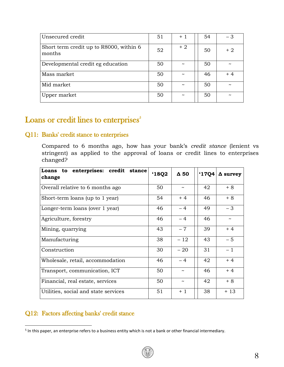| Unsecured credit                                  | 51 | $+1$                  | 54 | $-3$                  |
|---------------------------------------------------|----|-----------------------|----|-----------------------|
| Short term credit up to R8000, within 6<br>months | 52 | $+2$                  | 50 | $+2$                  |
| Developmental credit eg education                 | 50 | $\tilde{\phantom{a}}$ | 50 |                       |
| Mass market                                       | 50 | $\tilde{\phantom{a}}$ | 46 | $+4$                  |
| Mid market                                        | 50 | $\tilde{\phantom{a}}$ | 50 | $\tilde{\phantom{a}}$ |
| Upper market                                      | 50 | $\tilde{\phantom{a}}$ | 50 |                       |

### Loans or credit lines to enterprises<sup>5</sup>

#### Q11: Banks' credit stance to enterprises

Compared to 6 months ago, how has your bank's *credit stance* (lenient vs stringent) as applied to the approval of loans or credit lines to enterprises changed?

| Loans to enterprises: credit stance<br>change | '18Q2 | $\Delta$ 50           | 17Q4 | $\Delta$ survey       |
|-----------------------------------------------|-------|-----------------------|------|-----------------------|
| Overall relative to 6 months ago              | 50    | $\tilde{}$            | 42   | $+8$                  |
| Short-term loans (up to 1 year)               | 54    | $+4$                  | 46   | $+8$                  |
| Longer-term loans (over 1 year)               | 46    | $-4$                  | 49   | - 3                   |
| Agriculture, forestry                         | 46    | $-4$                  | 46   | $\tilde{\phantom{a}}$ |
| Mining, quarrying                             | 43    | $-7$                  | 39   | $+4$                  |
| Manufacturing                                 | 38    | $-12$                 | 43   | $-5$                  |
| Construction                                  | 30    | $-20$                 | 31   | $-1$                  |
| Wholesale, retail, accommodation              | 46    | $-4$                  | 42   | $+4$                  |
| Transport, communication, ICT                 | 50    | $\tilde{}$            | 46   | $+4$                  |
| Financial, real estate, services              | 50    | $\tilde{\phantom{a}}$ | 42   | $+8$                  |
| Utilities, social and state services          | 51    | $+1$                  | 38   | $+13$                 |

#### Q12: Factors affecting banks' credit stance

 $\overline{\phantom{a}}$ 

<sup>&</sup>lt;sup>5</sup> In this paper, an enterprise refers to a business entity which is not a bank or other financial intermediary.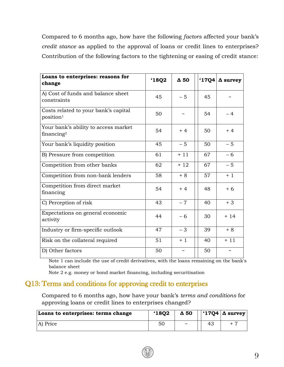Compared to 6 months ago, how have the following *factors* affected your bank's *credit stance* as applied to the approval of loans or credit lines to enterprises? Contribution of the following factors to the tightening or easing of credit stance:

| Loans to enterprises: reasons for<br>change                    | 18Q2 | $\Delta$ 50           |    | '17Q4 $\Delta$ survey |
|----------------------------------------------------------------|------|-----------------------|----|-----------------------|
| A) Cost of funds and balance sheet<br>constraints              | 45   | $-5$                  | 45 |                       |
| Costs related to your bank's capital<br>position <sup>1</sup>  | 50   |                       | 54 | $-4$                  |
| Your bank's ability to access market<br>financing <sup>2</sup> | 54   | $+4$                  | 50 | $+4$                  |
| Your bank's liquidity position                                 | 45   | $-5$                  | 50 | $-5$                  |
| B) Pressure from competition                                   | 61   | $+11$                 | 67 | $-6$                  |
| Competition from other banks                                   | 62   | $+12$                 | 67 | $-5$                  |
| Competition from non-bank lenders                              | 58   | $+8$                  | 57 | $+1$                  |
| Competition from direct market<br>financing                    | 54   | $+4$                  | 48 | $+6$                  |
| C) Perception of risk                                          | 43   | $-7$                  | 40 | $+3$                  |
| Expectations on general economic<br>activity                   | 44   | $-6$                  | 30 | $+14$                 |
| Industry or firm-specific outlook                              | 47   | $-3$                  | 39 | $+8$                  |
| Risk on the collateral required                                | 51   | $+1$                  | 40 | $+11$                 |
| D) Other factors                                               | 50   | $\tilde{\phantom{a}}$ | 50 |                       |

Note 1 can include the use of credit derivatives, with the loans remaining on the bank's balance sheet

Note 2 e.g. money or bond market financing, including securitisation

#### Q13: Terms and conditions for approving credit to enterprises

Compared to 6 months ago, how have your bank's *terms and conditions* for approving loans or credit lines to enterprises changed?

| Loans to enterprises: terms change | 18Q2           | $\Delta$ 50           | $\vert \ \vert$ '17Q4 $\vert \Delta$ survey $\vert$ |
|------------------------------------|----------------|-----------------------|-----------------------------------------------------|
| A) Price                           | 5 <sub>C</sub> | $\tilde{\phantom{a}}$ |                                                     |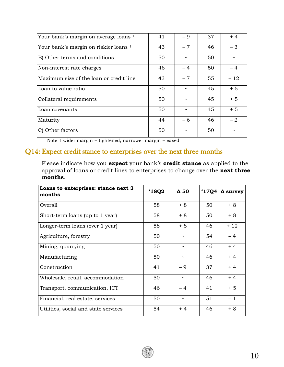| Your bank's margin on average loans 1            | 41 | $-9$       | 37 | $+4$  |
|--------------------------------------------------|----|------------|----|-------|
| Your bank's margin on riskier loans <sup>1</sup> | 43 | $-7$       | 46 | $-3$  |
| B) Other terms and conditions                    | 50 |            | 50 |       |
| Non-interest rate charges                        | 46 | $-4$       | 50 | $-4$  |
| Maximum size of the loan or credit line          | 43 | $-7$       | 55 | $-12$ |
| Loan to value ratio                              | 50 |            | 45 | $+5$  |
| Collateral requirements                          | 50 | $\tilde{}$ | 45 | $+5$  |
| Loan covenants                                   | 50 |            | 45 | $+5$  |
| Maturity                                         | 44 | - 6        | 46 | $-2$  |
| C) Other factors                                 | 50 |            | 50 |       |

Note 1 wider margin = tightened, narrower margin = eased

#### Q14: Expect credit stance to enterprises over the next three months

Please indicate how you **expect** your bank's **credit stance** as applied to the approval of loans or credit lines to enterprises to change over the **next three months**.

| Loans to enterprises: stance next 3<br>months | 18Q2 | $\Delta$ 50           | <b>'17Q4</b> | $\Delta$ survey |
|-----------------------------------------------|------|-----------------------|--------------|-----------------|
| Overall                                       | 58   | $+8$                  | 50           | $+8$            |
| Short-term loans (up to 1 year)               | 58   | $+8$                  | 50           | $+8$            |
| Longer-term loans (over 1 year)               | 58   | $+8$                  | 46           | $+12$           |
| Agriculture, forestry                         | 50   | $\tilde{}$            | 54           | $-4$            |
| Mining, quarrying                             | 50   | $\tilde{}$            | 46           | $+4$            |
| Manufacturing                                 | 50   | $\tilde{\phantom{a}}$ | 46           | $+4$            |
| Construction                                  | 41   | $-9$                  | 37           | $+4$            |
| Wholesale, retail, accommodation              | 50   | $\tilde{}$            | 46           | $+4$            |
| Transport, communication, ICT                 | 46   | $-4$                  | 41           | $+5$            |
| Financial, real estate, services              | 50   | $\tilde{}$            | 51           | $-1$            |
| Utilities, social and state services          | 54   | $+4$                  | 46           | $+8$            |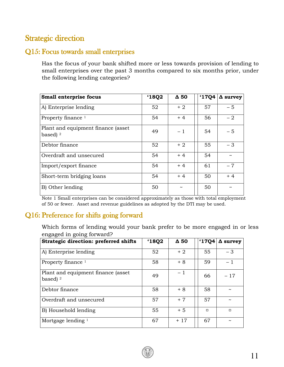## Strategic direction

#### Q15: Focus towards small enterprises

Has the focus of your bank shifted more or less towards provision of lending to small enterprises over the past 3 months compared to six months prior, under the following lending categories?

| Small enterprise focus                          | '18Q2 | $\Delta$ 50           | <b>'1704</b> | $\Delta$ survey |
|-------------------------------------------------|-------|-----------------------|--------------|-----------------|
| A) Enterprise lending                           | 52    | $+2$                  | 57           | $-5$            |
| Property finance $1$                            | 54    | $+4$                  | 56           | $-2$            |
| Plant and equipment finance (asset<br>based $2$ | 49    | $-1$                  | 54           | $-5$            |
| Debtor finance                                  | 52    | $+2$                  | 55           | $-3$            |
| Overdraft and unsecured                         | 54    | $+4$                  | 54           |                 |
| Import/export finance                           | 54    | $+4$                  | 61           | $-7$            |
| Short-term bridging loans                       | 54    | $+4$                  | 50           | $+4$            |
| B) Other lending                                | 50    | $\tilde{\phantom{a}}$ | 50           |                 |

Note 1 Small enterprises can be considered approximately as those with total employment of 50 or fewer. Asset and revenue guidelines as adopted by the DTI may be used.

### Q16: Preference for shifts going forward

Which forms of lending would your bank prefer to be more engaged in or less engaged in going forward?

| <b>Strategic direction: preferred shifts</b>    | '18Q2 | $\Delta$ 50 | '17Q4  | $\Delta$ survey |
|-------------------------------------------------|-------|-------------|--------|-----------------|
| A) Enterprise lending                           | 52    | $+2$        | 55     | $-3$            |
| Property finance $1$                            | 58    | $+8$        | 59     | $-1$            |
| Plant and equipment finance (asset<br>based $2$ | 49    | $-1$        | 66     | $-17$           |
| Debtor finance                                  | 58    | $+8$        | 58     | $\tilde{}$      |
| Overdraft and unsecured                         | 57    | $+7$        | 57     | $\tilde{}$      |
| B) Household lending                            | 55    | $+5$        | $\Box$ | $\Box$          |
| Mortgage lending <sup>1</sup>                   | 67    | $+17$       | 67     | $\tilde{}$      |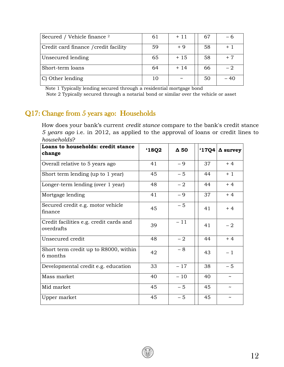| Secured / Vehicle finance <sup>2</sup> | 61 | $+11$                 | 67 | - 6  |
|----------------------------------------|----|-----------------------|----|------|
| Credit card finance / credit facility  | 59 | $+9$                  | 58 | $+1$ |
| Unsecured lending                      | 65 | $+15$                 | 58 | $+7$ |
| Short-term loans                       | 64 | $+14$                 | 66 | $-2$ |
| $ C $ Other lending                    | 10 | $\tilde{\phantom{a}}$ | 50 | - 40 |

 Note 1 Typically lending secured through a residential mortgage bond Note 2 Typically secured through a notarial bond or similar over the vehicle or asset

### Q17: Change from 5 years ago: Households

How does your bank's current *credit stance* compare to the bank's credit stance *5 years ago* i.e. in 2012, as applied to the approval of loans or credit lines to *households*?

| Loans to households: credit stance<br>change          | 18Q2 | $\Delta$ 50 | $^117Q4$ | $\Delta$ survey       |
|-------------------------------------------------------|------|-------------|----------|-----------------------|
| Overall relative to 5 years ago                       | 41   | $-9$        | 37       | $+4$                  |
| Short term lending (up to 1 year)                     | 45   | $-5$        | 44       | $+1$                  |
| Longer-term lending (over 1 year)                     | 48   | $-2$        | 44       | $+4$                  |
| Mortgage lending                                      | 41   | $-9$        | 37       | $+4$                  |
| Secured credit e.g. motor vehicle<br>finance          | 45   | $-5$        | 41       | $+4$                  |
| Credit facilities e.g. credit cards and<br>overdrafts | 39   | $-11$       | 41       | $-2$                  |
| Unsecured credit                                      | 48   | $-2$        | 44       | $+4$                  |
| Short term credit up to R8000, within<br>6 months     | 42   | $-8$        | 43       | $-1$                  |
| Developmental credit e.g. education                   | 33   | $-17$       | 38       | $-5$                  |
| Mass market                                           | 40   | $-10$       | 40       | $\tilde{}$            |
| Mid market                                            | 45   | $-5$        | 45       | $\tilde{\phantom{a}}$ |
| Upper market                                          | 45   | $-5$        | 45       |                       |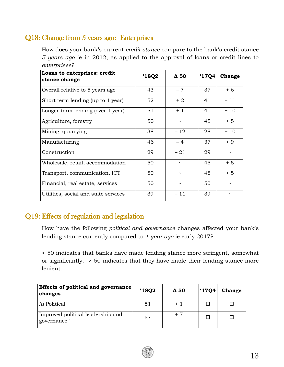### Q18: Change from 5 years ago: Enterprises

How does your bank's current *credit stance* compare to the bank's credit stance *5 years ago* ie in 2012, as applied to the approval of loans or credit lines to *enterprises*?

| Loans to enterprises: credit<br>stance change | 18Q2 | $\Delta$ 50           | 17Q4 | Change                |
|-----------------------------------------------|------|-----------------------|------|-----------------------|
| Overall relative to 5 years ago               | 43   | $-7$                  | 37   | $+6$                  |
| Short term lending (up to 1 year)             | 52   | $+2$                  | 41   | $+11$                 |
| Longer-term lending (over 1 year)             | 51   | $+1$                  | 41   | $+10$                 |
| Agriculture, forestry                         | 50   | $\tilde{\phantom{a}}$ | 45   | $+5$                  |
| Mining, quarrying                             | 38   | $-12$                 | 28   | $+10$                 |
| Manufacturing                                 | 46   | $-4$                  | 37   | $+9$                  |
| Construction                                  | 29   | $-21$                 | 29   | $\tilde{\phantom{a}}$ |
| Wholesale, retail, accommodation              | 50   | $\tilde{\phantom{a}}$ | 45   | $+5$                  |
| Transport, communication, ICT                 | 50   | $\tilde{\phantom{a}}$ | 45   | $+5$                  |
| Financial, real estate, services              | 50   | $\tilde{\phantom{a}}$ | 50   | $\sim$                |
| Utilities, social and state services          | 39   | $-11$                 | 39   |                       |

### Q19: Effects of regulation and legislation

How have the following *political and governance* changes affected your bank's lending stance currently compared to *1 year ago* ie early 2017?

< 50 indicates that banks have made lending stance more stringent, somewhat or significantly. > 50 indicates that they have made their lending stance more lenient.

| Effects of political and governance<br>changes    | <b>'1802</b> | $\Delta$ 50 | .17Q4 | <b>Change</b> |
|---------------------------------------------------|--------------|-------------|-------|---------------|
| A) Political                                      | 51           | $+1$        |       |               |
| Improved political leadership and<br>governance 1 | 57           | $+7$        |       |               |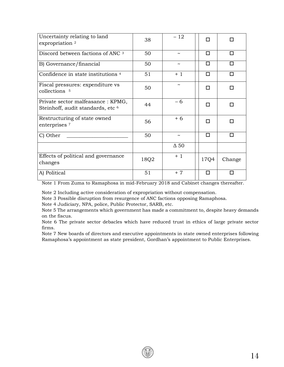| Uncertainty relating to land<br>expropriation <sup>2</sup>                         | 38   | $-12$                 | п    |        |
|------------------------------------------------------------------------------------|------|-----------------------|------|--------|
| Discord between factions of ANC 3                                                  | 50   | $\tilde{\phantom{a}}$ | п    | п      |
| B) Governance/financial                                                            | 50   | $\tilde{\phantom{a}}$ | □    | п      |
| Confidence in state institutions <sup>4</sup>                                      | 51   | $+1$                  | п    | п      |
| Fiscal pressures: expenditure vs<br>collections 5                                  | 50   | $\tilde{\phantom{a}}$ | П    | п      |
| Private sector malfeasance : KPMG,<br>Steinhoff, audit standards, etc <sup>6</sup> | 44   | - 6                   | п    | п      |
| Restructuring of state owned<br>enterprises <sup>7</sup>                           | 56   | $+6$                  | п    | п      |
| C) Other                                                                           | 50   | $\tilde{\phantom{a}}$ | П    | п      |
|                                                                                    |      | $\Delta$ 50           |      |        |
| Effects of political and governance<br>changes                                     | 18Q2 | $+1$                  | 17Q4 | Change |
| A) Political                                                                       | 51   | $+7$                  | П    | П      |

Note 1 From Zuma to Ramaphosa in mid-February 2018 and Cabinet changes thereafter.

Note 2 Including active consideration of expropriation without compensation.

Note 3 Possible disruption from resurgence of ANC factions opposing Ramaphosa.

Note 4 Judiciary, NPA, police, Public Protector, SARB, etc.

Note 5 The arrangements which government has made a commitment to, despite heavy demands on the fiscus.

Note 6 The private sector debacles which have reduced trust in ethics of large private sector firms.

Note 7 New boards of directors and executive appointments in state owned enterprises following Ramaphosa's appointment as state president, Gordhan's appointment to Public Enterprises.